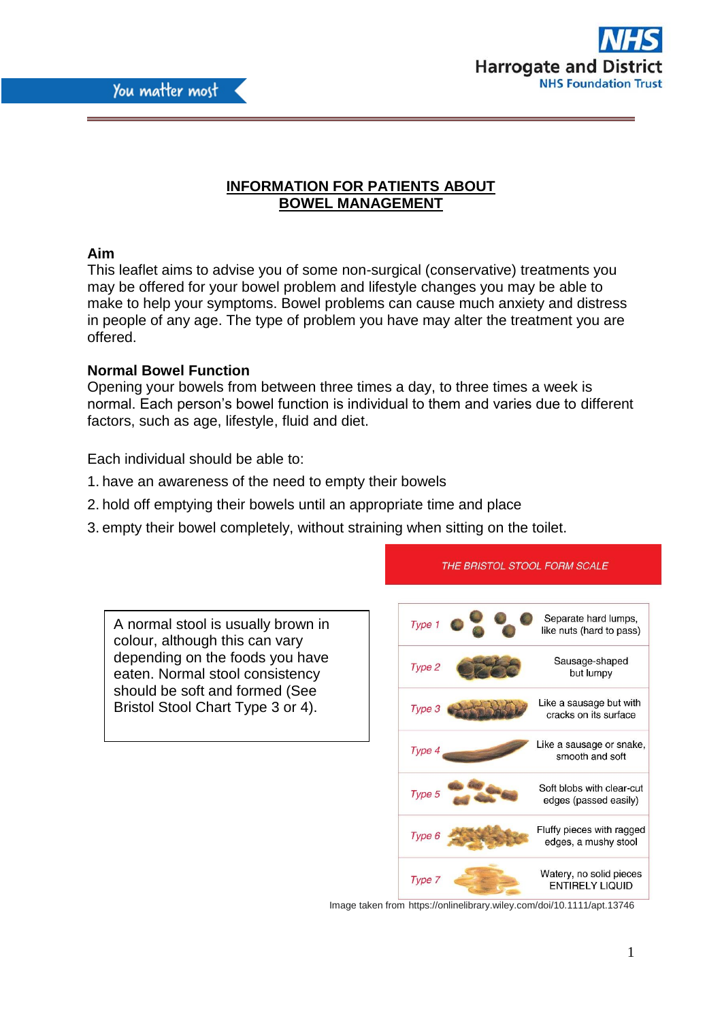



# **INFORMATION FOR PATIENTS ABOUT BOWEL MANAGEMENT**

# **Aim**

This leaflet aims to advise you of some non-surgical (conservative) treatments you may be offered for your bowel problem and lifestyle changes you may be able to make to help your symptoms. Bowel problems can cause much anxiety and distress in people of any age. The type of problem you have may alter the treatment you are offered.

# **Normal Bowel Function**

Opening your bowels from between three times a day, to three times a week is normal. Each person's bowel function is individual to them and varies due to different factors, such as age, lifestyle, fluid and diet.

Each individual should be able to:

- 1. have an awareness of the need to empty their bowels
- 2. hold off emptying their bowels until an appropriate time and place
- 3. empty their bowel completely, without straining when sitting on the toilet.

A normal stool is usually brown in colour, although this can vary depending on the foods you have eaten. Normal stool consistency should be soft and formed (See Bristol Stool Chart Type 3 or 4).



THE BRISTOL STOOL FORM SCALE

Image taken from https://onlinelibrary.wiley.com/doi/10.1111/apt.13746

1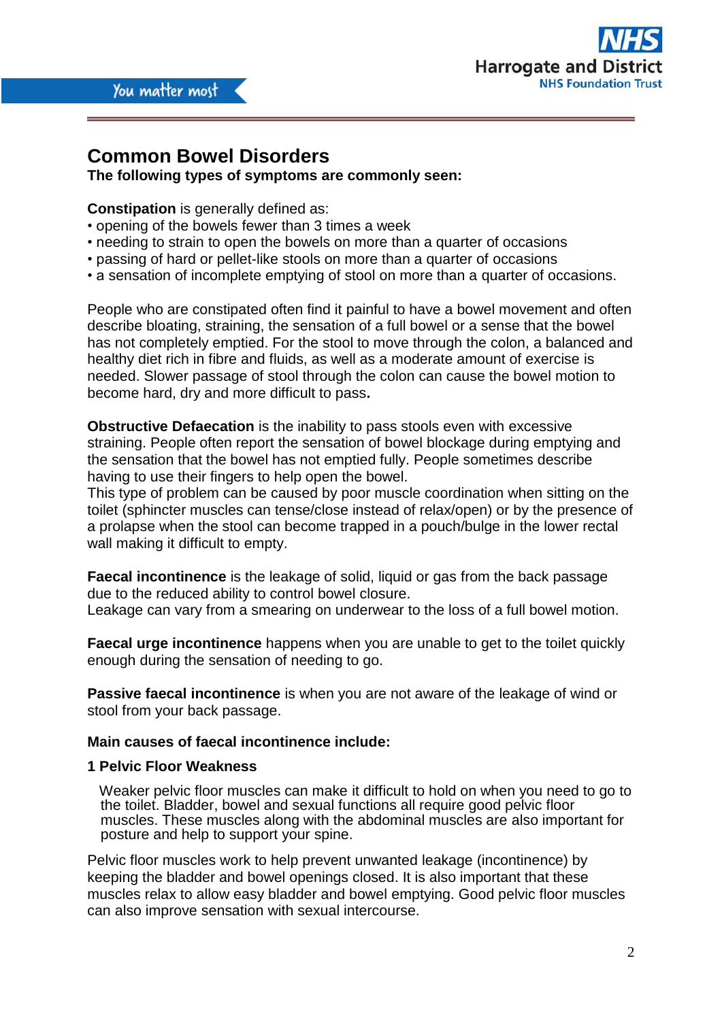

# **Common Bowel Disorders**

**The following types of symptoms are commonly seen:** 

**Constipation** is generally defined as:

- opening of the bowels fewer than 3 times a week
- needing to strain to open the bowels on more than a quarter of occasions
- passing of hard or pellet-like stools on more than a quarter of occasions
- a sensation of incomplete emptying of stool on more than a quarter of occasions.

People who are constipated often find it painful to have a bowel movement and often describe bloating, straining, the sensation of a full bowel or a sense that the bowel has not completely emptied. For the stool to move through the colon, a balanced and healthy diet rich in fibre and fluids, as well as a moderate amount of exercise is needed. Slower passage of stool through the colon can cause the bowel motion to become hard, dry and more difficult to pass**.** 

**Obstructive Defaecation** is the inability to pass stools even with excessive straining. People often report the sensation of bowel blockage during emptying and the sensation that the bowel has not emptied fully. People sometimes describe having to use their fingers to help open the bowel.

This type of problem can be caused by poor muscle coordination when sitting on the toilet (sphincter muscles can tense/close instead of relax/open) or by the presence of a prolapse when the stool can become trapped in a pouch/bulge in the lower rectal wall making it difficult to empty.

**Faecal incontinence** is the leakage of solid, liquid or gas from the back passage due to the reduced ability to control bowel closure.

Leakage can vary from a smearing on underwear to the loss of a full bowel motion.

**Faecal urge incontinence** happens when you are unable to get to the toilet quickly enough during the sensation of needing to go.

**Passive faecal incontinence** is when you are not aware of the leakage of wind or stool from your back passage.

# **Main causes of faecal incontinence include:**

#### **1 Pelvic Floor Weakness**

 Weaker pelvic floor muscles can make it difficult to hold on when you need to go to the toilet. Bladder, bowel and sexual functions all require good pelvic floor muscles. These muscles along with the abdominal muscles are also important for posture and help to support your spine.

Pelvic floor muscles work to help prevent unwanted leakage (incontinence) by keeping the bladder and bowel openings closed. It is also important that these muscles relax to allow easy bladder and bowel emptying. Good pelvic floor muscles can also improve sensation with sexual intercourse.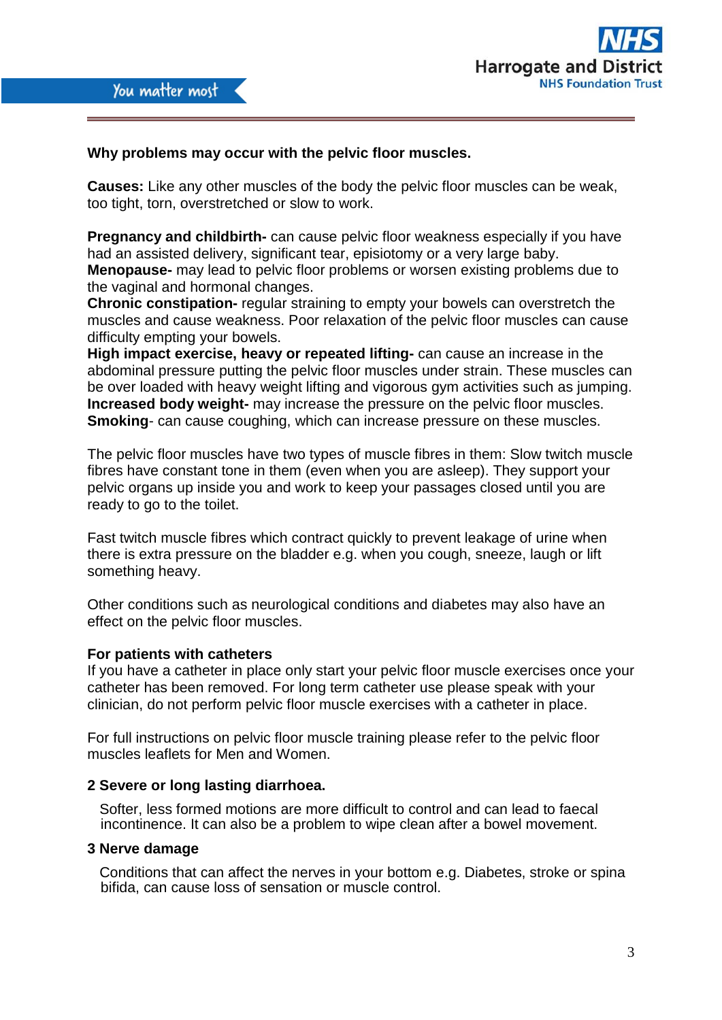



# **Why problems may occur with the pelvic floor muscles.**

**Causes:** Like any other muscles of the body the pelvic floor muscles can be weak, too tight, torn, overstretched or slow to work.

**Pregnancy and childbirth-** can cause pelvic floor weakness especially if you have had an assisted delivery, significant tear, episiotomy or a very large baby. **Menopause-** may lead to pelvic floor problems or worsen existing problems due to the vaginal and hormonal changes.

**Chronic constipation-** regular straining to empty your bowels can overstretch the muscles and cause weakness. Poor relaxation of the pelvic floor muscles can cause difficulty empting your bowels.

**High impact exercise, heavy or repeated lifting-** can cause an increase in the abdominal pressure putting the pelvic floor muscles under strain. These muscles can be over loaded with heavy weight lifting and vigorous gym activities such as jumping. **Increased body weight-** may increase the pressure on the pelvic floor muscles. **Smoking**- can cause coughing, which can increase pressure on these muscles.

The pelvic floor muscles have two types of muscle fibres in them: Slow twitch muscle fibres have constant tone in them (even when you are asleep). They support your pelvic organs up inside you and work to keep your passages closed until you are ready to go to the toilet.

Fast twitch muscle fibres which contract quickly to prevent leakage of urine when there is extra pressure on the bladder e.g. when you cough, sneeze, laugh or lift something heavy.

Other conditions such as neurological conditions and diabetes may also have an effect on the pelvic floor muscles.

#### **For patients with catheters**

If you have a catheter in place only start your pelvic floor muscle exercises once your catheter has been removed. For long term catheter use please speak with your clinician, do not perform pelvic floor muscle exercises with a catheter in place.

For full instructions on pelvic floor muscle training please refer to the pelvic floor muscles leaflets for Men and Women.

#### **2 Severe or long lasting diarrhoea.**

Softer, less formed motions are more difficult to control and can lead to faecal incontinence. It can also be a problem to wipe clean after a bowel movement.

#### **3 Nerve damage**

 Conditions that can affect the nerves in your bottom e.g. Diabetes, stroke or spina bifida, can cause loss of sensation or muscle control.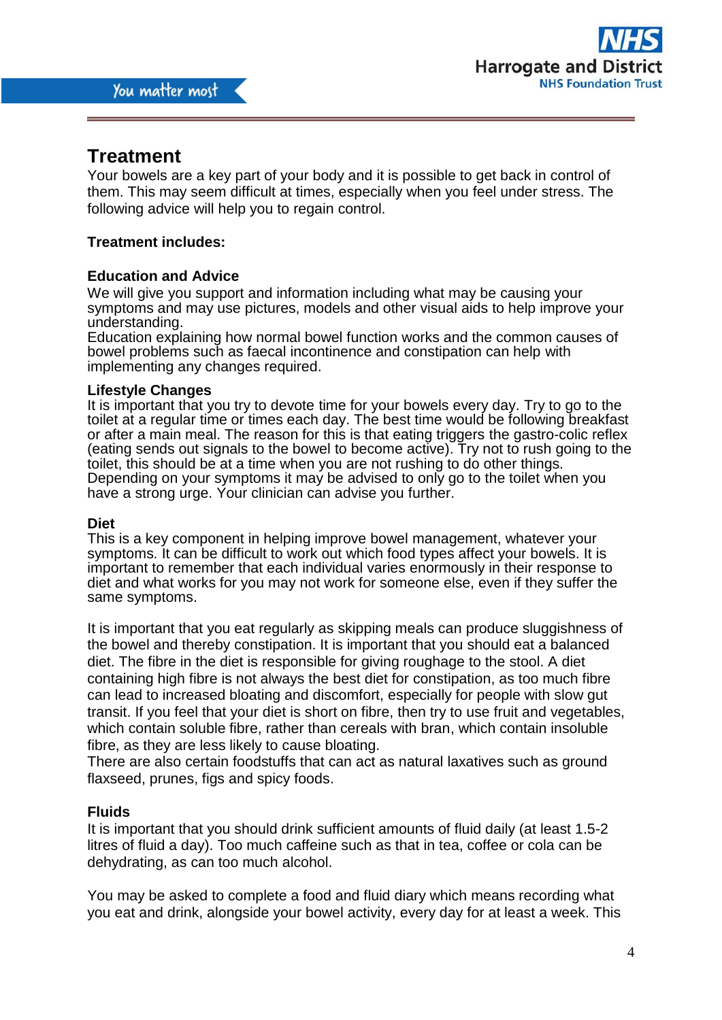

# **Treatment**

Your bowels are a key part of your body and it is possible to get back in control of them. This may seem difficult at times, especially when you feel under stress. The following advice will help you to regain control.

# **Treatment includes:**

# **Education and Advice**

We will give you support and information including what may be causing your symptoms and may use pictures, models and other visual aids to help improve your understanding.

Education explaining how normal bowel function works and the common causes of bowel problems such as faecal incontinence and constipation can help with implementing any changes required.

#### **Lifestyle Changes**

It is important that you try to devote time for your bowels every day. Try to go to the toilet at a regular time or times each day. The best time would be following breakfast or after a main meal. The reason for this is that eating triggers the gastro-colic reflex (eating sends out signals to the bowel to become active). Try not to rush going to the toilet, this should be at a time when you are not rushing to do other things. Depending on your symptoms it may be advised to only go to the toilet when you have a strong urge. Your clinician can advise you further.

#### **Diet**

This is a key component in helping improve bowel management, whatever your symptoms. It can be difficult to work out which food types affect your bowels. It is important to remember that each individual varies enormously in their response to diet and what works for you may not work for someone else, even if they suffer the same symptoms.

It is important that you eat regularly as skipping meals can produce sluggishness of the bowel and thereby constipation. It is important that you should eat a balanced diet. The fibre in the diet is responsible for giving roughage to the stool. A diet containing high fibre is not always the best diet for constipation, as too much fibre can lead to increased bloating and discomfort, especially for people with slow gut transit. If you feel that your diet is short on fibre, then try to use fruit and vegetables, which contain soluble fibre, rather than cereals with bran, which contain insoluble fibre, as they are less likely to cause bloating.

There are also certain foodstuffs that can act as natural laxatives such as ground flaxseed, prunes, figs and spicy foods.

#### **Fluids**

It is important that you should drink sufficient amounts of fluid daily (at least 1.5-2 litres of fluid a day). Too much caffeine such as that in tea, coffee or cola can be dehydrating, as can too much alcohol.

You may be asked to complete a food and fluid diary which means recording what you eat and drink, alongside your bowel activity, every day for at least a week. This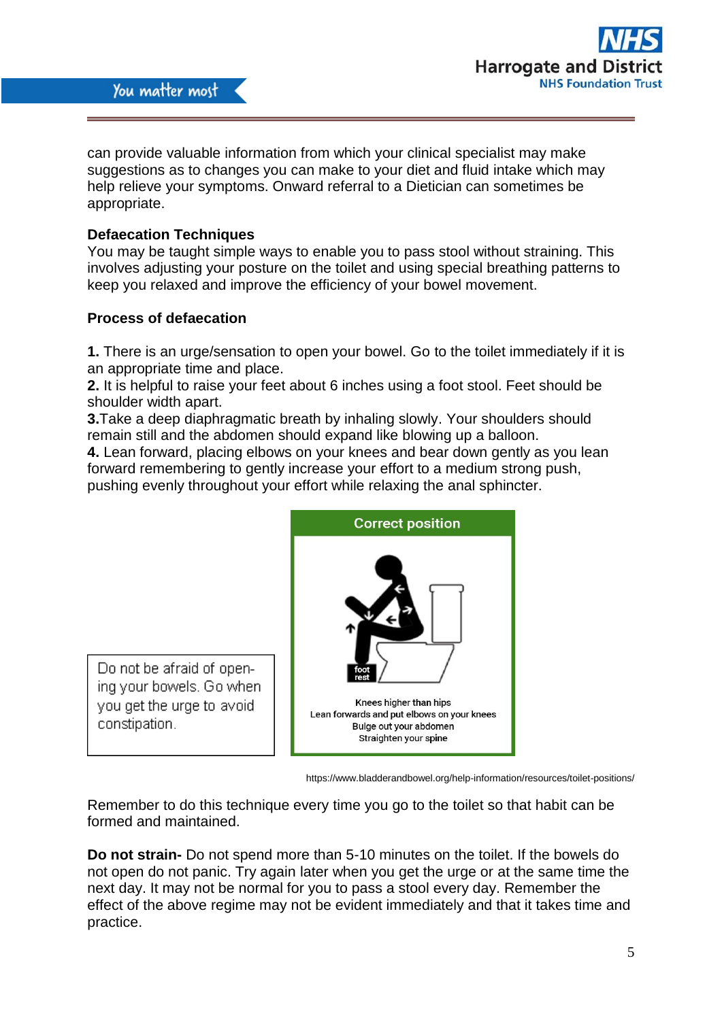

can provide valuable information from which your clinical specialist may make suggestions as to changes you can make to your diet and fluid intake which may help relieve your symptoms. Onward referral to a Dietician can sometimes be appropriate.

# **Defaecation Techniques**

You may be taught simple ways to enable you to pass stool without straining. This involves adjusting your posture on the toilet and using special breathing patterns to keep you relaxed and improve the efficiency of your bowel movement.

# **Process of defaecation**

Do not be afraid of opening your bowels. Go when

you get the urge to avoid

constipation.

**1.** There is an urge/sensation to open your bowel. Go to the toilet immediately if it is an appropriate time and place.

**2.** It is helpful to raise your feet about 6 inches using a foot stool. Feet should be shoulder width apart.

**3.**Take a deep diaphragmatic breath by inhaling slowly. Your shoulders should remain still and the abdomen should expand like blowing up a balloon.

**4.** Lean forward, placing elbows on your knees and bear down gently as you lean forward remembering to gently increase your effort to a medium strong push, pushing evenly throughout your effort while relaxing the anal sphincter.



https://www.bladderandbowel.org/help-information/resources/toilet-positions/

Remember to do this technique every time you go to the toilet so that habit can be formed and maintained.

**Do not strain-** Do not spend more than 5-10 minutes on the toilet. If the bowels do not open do not panic. Try again later when you get the urge or at the same time the next day. It may not be normal for you to pass a stool every day. Remember the effect of the above regime may not be evident immediately and that it takes time and practice.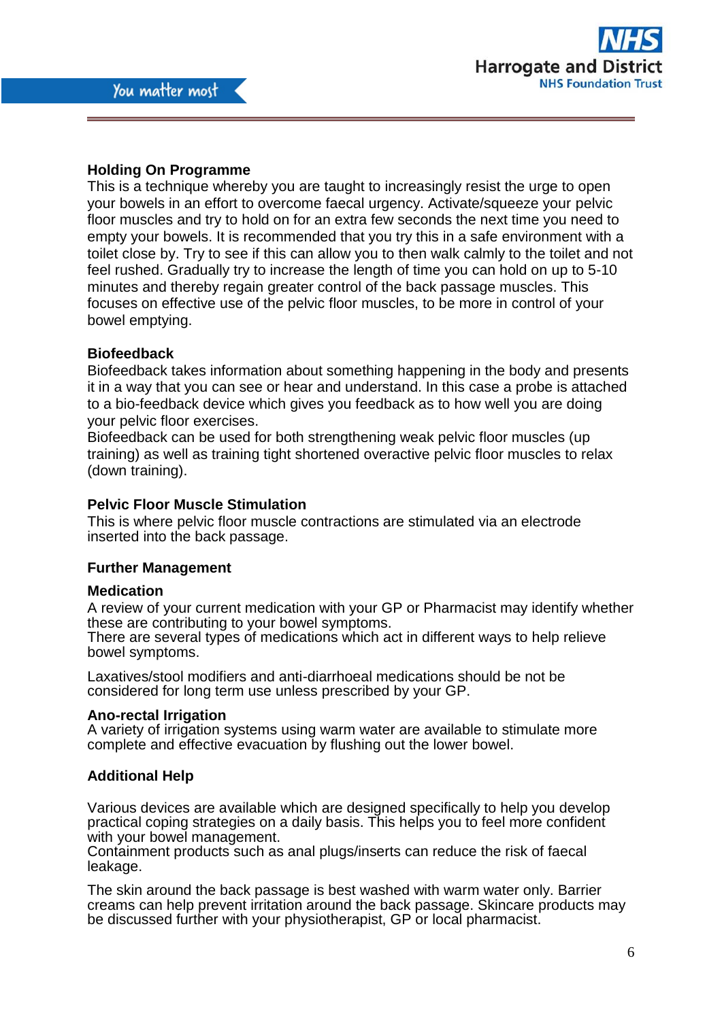# **Holding On Programme**

This is a technique whereby you are taught to increasingly resist the urge to open your bowels in an effort to overcome faecal urgency. Activate/squeeze your pelvic floor muscles and try to hold on for an extra few seconds the next time you need to empty your bowels. It is recommended that you try this in a safe environment with a toilet close by. Try to see if this can allow you to then walk calmly to the toilet and not feel rushed. Gradually try to increase the length of time you can hold on up to 5-10 minutes and thereby regain greater control of the back passage muscles. This focuses on effective use of the pelvic floor muscles, to be more in control of your bowel emptying.

#### **Biofeedback**

Biofeedback takes information about something happening in the body and presents it in a way that you can see or hear and understand. In this case a probe is attached to a bio-feedback device which gives you feedback as to how well you are doing your pelvic floor exercises.

Biofeedback can be used for both strengthening weak pelvic floor muscles (up training) as well as training tight shortened overactive pelvic floor muscles to relax (down training).

# **Pelvic Floor Muscle Stimulation**

This is where pelvic floor muscle contractions are stimulated via an electrode inserted into the back passage.

#### **Further Management**

#### **Medication**

A review of your current medication with your GP or Pharmacist may identify whether these are contributing to your bowel symptoms.

There are several types of medications which act in different ways to help relieve bowel symptoms.

Laxatives/stool modifiers and anti-diarrhoeal medications should be not be considered for long term use unless prescribed by your GP.

#### **Ano-rectal Irrigation**

A variety of irrigation systems using warm water are available to stimulate more complete and effective evacuation by flushing out the lower bowel.

#### **Additional Help**

Various devices are available which are designed specifically to help you develop practical coping strategies on a daily basis. This helps you to feel more confident with your bowel management.

Containment products such as anal plugs/inserts can reduce the risk of faecal leakage.

The skin around the back passage is best washed with warm water only. Barrier creams can help prevent irritation around the back passage. Skincare products may be discussed further with your physiotherapist, GP or local pharmacist.